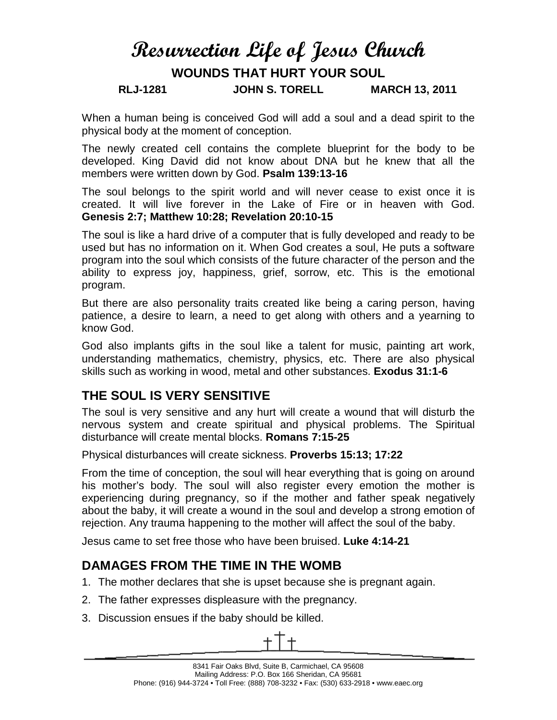# **Resurrection Life of Jesus Church**

## **WOUNDS THAT HURT YOUR SOUL**

#### **RLJ-1281 JOHN S. TORELL MARCH 13, 2011**

When a human being is conceived God will add a soul and a dead spirit to the physical body at the moment of conception.

The newly created cell contains the complete blueprint for the body to be developed. King David did not know about DNA but he knew that all the members were written down by God. **Psalm 139:13-16**

The soul belongs to the spirit world and will never cease to exist once it is created. It will live forever in the Lake of Fire or in heaven with God. **Genesis 2:7; Matthew 10:28; Revelation 20:10-15**

The soul is like a hard drive of a computer that is fully developed and ready to be used but has no information on it. When God creates a soul, He puts a software program into the soul which consists of the future character of the person and the ability to express joy, happiness, grief, sorrow, etc. This is the emotional program.

But there are also personality traits created like being a caring person, having patience, a desire to learn, a need to get along with others and a yearning to know God.

God also implants gifts in the soul like a talent for music, painting art work, understanding mathematics, chemistry, physics, etc. There are also physical skills such as working in wood, metal and other substances. **Exodus 31:1-6**

## **THE SOUL IS VERY SENSITIVE**

The soul is very sensitive and any hurt will create a wound that will disturb the nervous system and create spiritual and physical problems. The Spiritual disturbance will create mental blocks. **Romans 7:15-25**

Physical disturbances will create sickness. **Proverbs 15:13; 17:22**

From the time of conception, the soul will hear everything that is going on around his mother's body. The soul will also register every emotion the mother is experiencing during pregnancy, so if the mother and father speak negatively about the baby, it will create a wound in the soul and develop a strong emotion of rejection. Any trauma happening to the mother will affect the soul of the baby.

Jesus came to set free those who have been bruised. **Luke 4:14-21**

## **DAMAGES FROM THE TIME IN THE WOMB**

- 1. The mother declares that she is upset because she is pregnant again.
- 2. The father expresses displeasure with the pregnancy.
- 3. Discussion ensues if the baby should be killed.

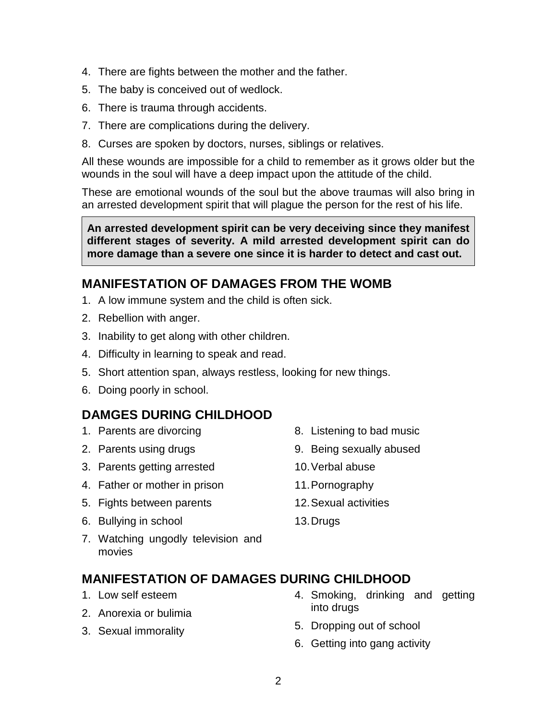- 4. There are fights between the mother and the father.
- 5. The baby is conceived out of wedlock.
- 6. There is trauma through accidents.
- 7. There are complications during the delivery.
- 8. Curses are spoken by doctors, nurses, siblings or relatives.

All these wounds are impossible for a child to remember as it grows older but the wounds in the soul will have a deep impact upon the attitude of the child.

These are emotional wounds of the soul but the above traumas will also bring in an arrested development spirit that will plague the person for the rest of his life.

**An arrested development spirit can be very deceiving since they manifest different stages of severity. A mild arrested development spirit can do more damage than a severe one since it is harder to detect and cast out.**

#### **MANIFESTATION OF DAMAGES FROM THE WOMB**

- 1. A low immune system and the child is often sick.
- 2. Rebellion with anger.
- 3. Inability to get along with other children.
- 4. Difficulty in learning to speak and read.
- 5. Short attention span, always restless, looking for new things.
- 6. Doing poorly in school.

#### **DAMGES DURING CHILDHOOD**

- 1. Parents are divorcing
- 2. Parents using drugs
- 3. Parents getting arrested
- 4. Father or mother in prison
- 5. Fights between parents
- 6. Bullying in school
- 7. Watching ungodly television and movies

#### **MANIFESTATION OF DAMAGES DURING CHILDHOOD**

- 1. Low self esteem
- 2. Anorexia or bulimia
- 3. Sexual immorality
- 4. Smoking, drinking and getting into drugs
- 5. Dropping out of school
- 6. Getting into gang activity

13.Drugs

- 8. Listening to bad music
- 9. Being sexually abused
- 10.Verbal abuse
- 11.Pornography
- 12.Sexual activities